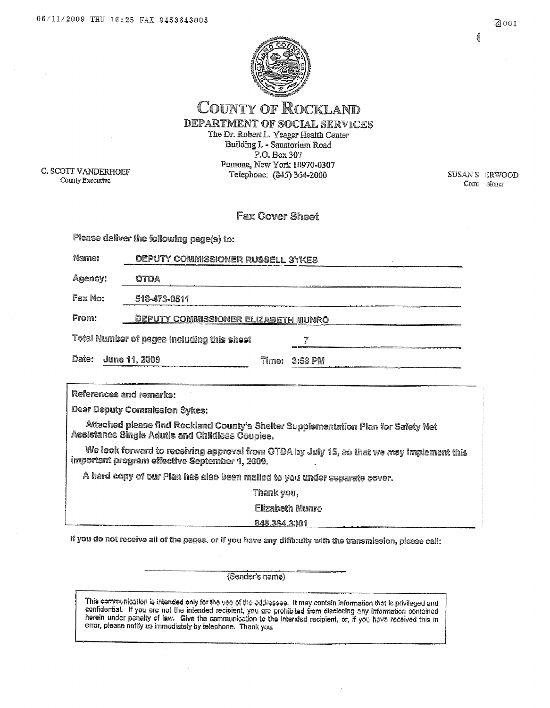

4



**COUNTY OF ROCKLAND** DEPARTMENT OF SOCIAL SERVICES The Dr. Robert L. Yeager Health Center Building L - Sauatorium Road

C. SCOTT VANDERHOEF County Executive

 $P.O.$  Box 307 Pomona, New York 10970-0307 Telephone: (845) 364-2000

**SUSAN S ERWOOD** Comm sioner

### Fax Cover Sheet

| Please deliver the following page(s) to: |                                            |       |           |
|------------------------------------------|--------------------------------------------|-------|-----------|
| Name:                                    | DEPUTY COMMISSIONER RUSSELL SYKES          |       |           |
| Agency:                                  | OTDA                                       |       |           |
| Fax No:                                  | 518-473-0511                               |       |           |
| From:                                    | <b>DEPUTY COMMISSIONER ELIZABETH WUNRO</b> |       |           |
|                                          | Total Number of pages including this sheet |       |           |
| Date:                                    | June 11, 2009                              | Time: | $3:53$ PM |

References and remarks:

**Dear Deputy Commission Sykes:** 

Attached please find Rockland County's Shelter Supplementation Plan for Safety Net Assistance Single Adutis and Childless Couples.

We look forward to receiving approval from OTDA by July 15, so that we may implement this important program effective September 1, 2009.

A hard copy of our Plan has also been mailed to you under separate cover.

Thank you,

**Elizabeth Munro** 

845.364.3301

If you do not receive all of the pages, or if you have any difficulty with the transmission, please call:

(Sender's name)

This communication is intended only for the use of the addressee. It may contain information that is privileged and confidential. If you are not the intended recipient, you are prohibited from disclesing any information contained herein under penalty of law. Give the communication to the interded recipient, or, if you have received this in error, please notify us immediately by telephone. Thank you,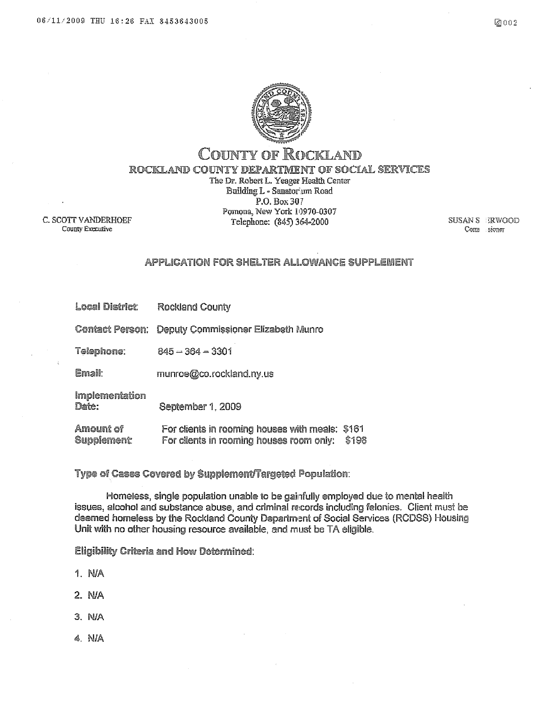

### **COUNTY OF ROCKLAND** ROCKLAND COUNTY DEPARTMENT OF SOCIAL SERVICES The Dr. Robert L. Yeager Health Center Building L - Sanatorium Road P.O. Box 307 Ротопа, New York 10970-0307 Telephone: (845) 364-2000

C. SCOTT VANDERHOEF County Executive

**SUSAN S** ERWOOD Com sioner

### APPLICATION FOR SHELTER ALLOWANCE SUPPLEMENT

**Local District: Rockland County** 

Contact Person: Deputy Commissioner Elizabeth Munro

Telephone:  $845 - 364 - 3301$ 

Email: munroe@co.rockland.ny.us

Implementation Date:

September 1, 2009

Amount of For clients in rooming houses with meals: \$161 **Supplement** For clients in rooming houses room only: \$198

Type of Cases Covered by Supplement/Targeted Population:

Homeless, single population unable to be gainfully employed due to mental health issues, alcohol and substance abuse, and criminal records including felonies. Client must be deemed homeless by the Rockland County Department of Social Services (RCDSS) Housing Unit with no other housing resource available, and must be TA eligible.

**Eligibility Criteria and How Determined:** 

- 1. NJA
- $2. N/A$
- $3. N/A$
- $4$  N/A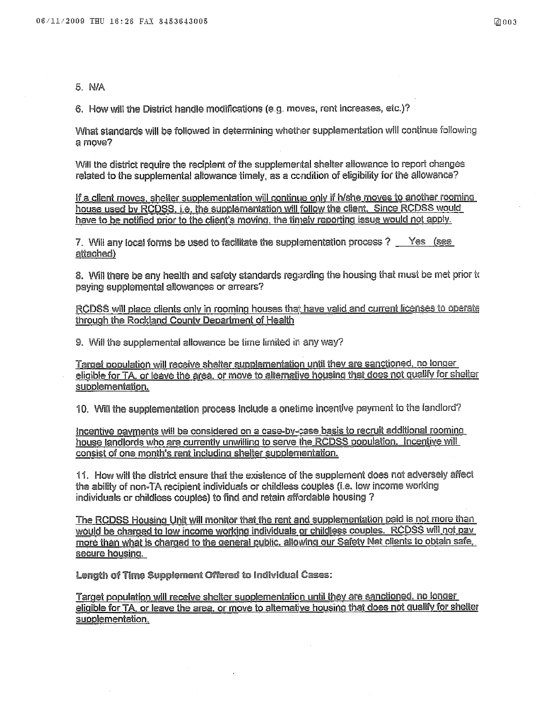5. N/A

6. How will the District handle modifications (e.g. moves, rent increases, etc.)?

What standards will be followed in determining whether supplementation will continue following a move?

Will the district require the recipient of the supplemental shelter allowance to report changes related to the supplemental allowance timely, as a condition of eligibility for the allowance?

If a client moves, shelter supplementation will continue only if h/she moves to another rooming house used by RCDSS, i.e. the supplementation will follow the client. Since RCDSS would have to be notified prior to the client's moving, the timely reporting issue would not apply.

7. Will any local forms be used to facilitate the supplementation process ? Yes (see attached)

8. Will there be any health and safety standards regarding the housing that must be met prior to paying supplemental allowances or arrears?

RCDSS will place clients only in rooming houses that have valid and current licenses to operate through the Rockland County Department of Health

9. Will the supplemental allowance be time limited in any way?

Target population will receive shelter supplementation until they are sanctioned, no longer eligible for TA, or leave the area, or move to alternative housing that does not qualify for shelter supplementation.

10. Will the supplementation process include a onetime incentive payment to the landlord?

Incentive payments will be considered on a case-by-case basis to recruit additional rooming house landlords who are currently unwilling to serve the RCDSS population. Incentive will consist of one month's rent including shelter supplementation.

11. How will the district ensure that the existence of the supplement does not adversely affect the ability of non-TA recipient individuals or childless couples (i.e. low income working individuals or childless couples) to find and retain affordable housing ?

The RCDSS Housing Unit will monitor that the rent and supplementation paid is not more than would be charged to low income working individuals or childless couples. RCDSS will not pay more than what is charged to the general public, allowing our Safety Net clients to obtain safe. secure housing.

Length of Time Supplement Offered to Individual Cases:

Target population will receive shelter supplementation until they are sanctioned, no longer eligible for TA, or leave the area, or move to alternative housing that does not qualify for shelter supplementation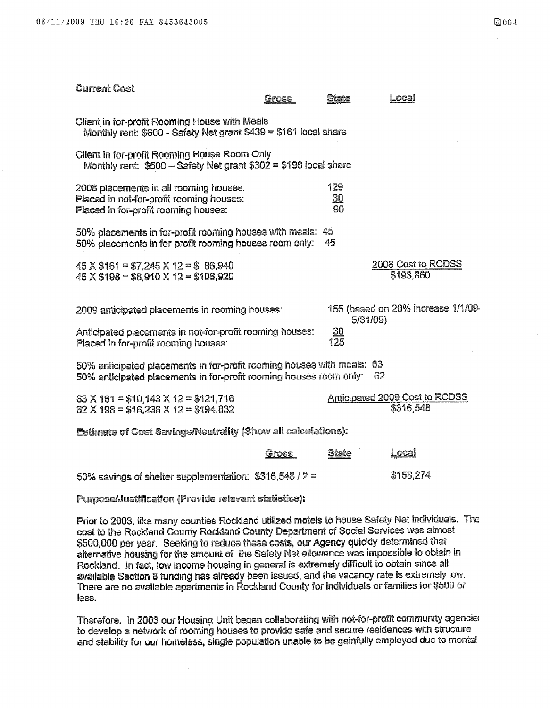| <b>Current Cost</b>                                                                                                                          | Gross | State                   | ocal                                           |
|----------------------------------------------------------------------------------------------------------------------------------------------|-------|-------------------------|------------------------------------------------|
| Client in for-profit Rooming House with Meals<br>Monthly rent: \$600 - Safety Net grant \$439 = \$161 local share                            |       |                         |                                                |
| Client in for-profit Rooming House Room Only<br>Monthly rent: \$500 - Safety Net grant \$302 = \$198 local share                             |       |                         |                                                |
| 2008 placements in all rooming houses:<br>Placed in not-for-profit rooming houses:<br>Placed in for-profit rooming houses:                   |       | 129<br><u>30</u><br>90  |                                                |
| 50% placements in for-profit rooming houses with meals: 45<br>50% placements in for-profit rooming houses room only:                         |       | 45                      |                                                |
| $45 \times $161 = $7,245 \times 12 = $86,940$<br>$45$ X \$198 = \$8,910 X 12 = \$106,920                                                     |       |                         | 2008 Cost to RCDSS<br>\$193,860                |
| 2009 anticipated placements in rooming houses:                                                                                               |       |                         | 155 (based on 20% increase 1/1/09-<br>5/31/09} |
| Anticipated placements in not-for-profit rooming houses:<br>Placed in for-profit rooming houses:                                             |       | $\underline{30}$<br>125 |                                                |
| 50% anticipated placements in for-profit rooming houses with meals: 63<br>50% anticipated placements in for-profit rooming houses room only: |       |                         | 62                                             |
| 63 $\times$ 161 = \$10.143 $\times$ 12 = \$121,716<br>62 $\times$ 198 = \$16,236 $\times$ 12 = \$194,832                                     |       |                         | Anticipated 2009 Cost to RCDSS<br>\$316,548    |
| Estimate of Cost Savings/Neutrality (Show all calculations):                                                                                 |       |                         |                                                |

|                                                          | Gross | <u>State</u> | <u>Local</u> |
|----------------------------------------------------------|-------|--------------|--------------|
| 50% savings of shelter supplementation: $$316,548 / 2 =$ |       |              | \$158,274    |

Purpose/Justification (Provide relevant statistics):

Prior to 2003, like many counties Rockland utilized motels to house Safety Net individuals. The cost to the Rockland County Rockland County Department of Social Services was almost \$500,000 per year. Seeking to reduce these costs, our Agency quickly determined that alternative housing for the amount of the Safety Net allowance was impossible to obtain in Rockland. In fact, low income housing in general is extremely difficult to obtain since all available Section 8 funding has already been issued, and the vacancy rate is extremely low. There are no available apartments in Rockland County for individuals or families for \$500 or less.

Therefore, in 2003 our Housing Unit began collaborating with not-for-profit community agencies to develop a network of rooming houses to provide safe and secure residences with structure and stability for our homeless, single population unable to be gainfully employed due to mental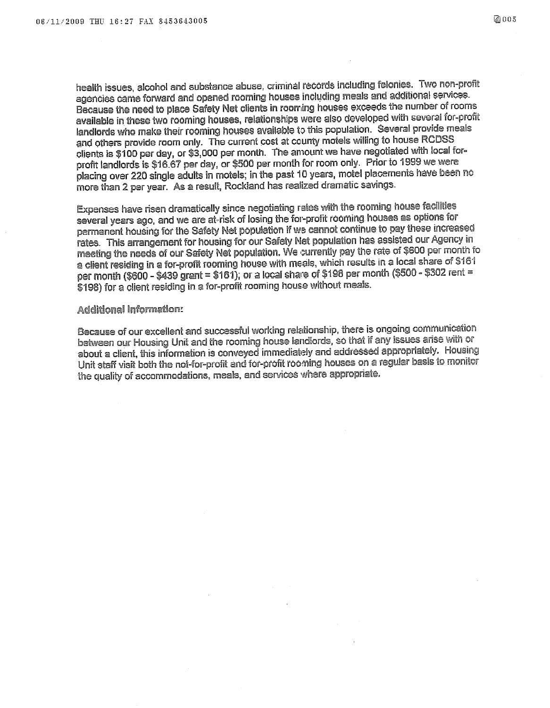health issues, alcohol and substance abuse, criminal records including felonies. Two non-profit agencies came forward and opened rooming houses including meals and additional services. Because the need to place Safety Net clients in rooming houses exceeds the number of rooms available in these two rooming houses, relationships were also developed with several for-profit landlords who make their rooming houses available to this population. Several provide meals and others provide room only. The current cost at county motels willing to house RCDSS clients is \$100 per day, or \$3,000 per month. The amount we have negotiated with local forprofit landlords is \$16.67 per day, or \$500 per month for room only. Prior to 1999 we were placing over 220 single adults in motels; in the past 10 years, motel placements have been no more than 2 per year. As a result, Rockland has realized dramatic savings.

Expenses have risen dramatically since negotiating rates with the rooming house facilities several years ago, and we are at-risk of losing the for-profit rooming houses as options for permanent housing for the Safety Net population if we cannot continue to pay these increased rates. This arrangement for housing for our Safety Net population has assisted our Agency in meeting the needs of our Safety Net population. We currently pay the rate of \$600 per month fo a client residing in a for-profit rooming house with meals, which results in a local share of \$161 per month (\$600 - \$439 grant = \$161); or a local share of \$198 per month (\$500 - \$302 rent = \$198) for a client residing in a for-profit rooming house without meals.

### **Additional Information:**

Because of our excellent and successful working relationship, there is ongoing communication between our Housing Unit and the rooming house landlords, so that if any issues arise with or about a client, this information is conveyed immediately and addressed appropriately. Housing Unit staff visit both the not-for-profit and for-profit rooming houses on a regular basis to monitor the quality of accommodations, meals, and services where appropriate.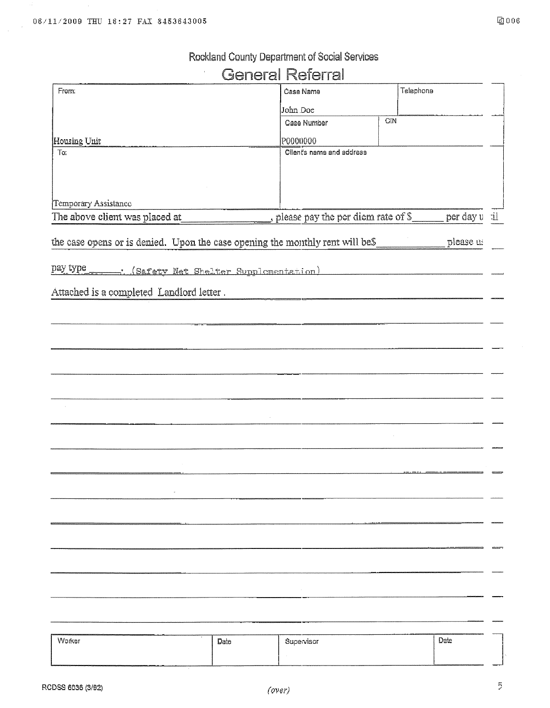# Rockland County Department of Social Services

# **General Referral**

| From:                                                                         | Čase Name                          | Telephone |              |
|-------------------------------------------------------------------------------|------------------------------------|-----------|--------------|
|                                                                               | John Doe                           |           |              |
|                                                                               | Case Number                        | GIN       |              |
| Housing Unit                                                                  | P0000000                           |           |              |
| To:                                                                           | Client's name and address          |           |              |
|                                                                               |                                    |           |              |
|                                                                               |                                    |           |              |
| Temporary Assistance                                                          |                                    |           |              |
| The above client was placed at                                                | please pay the per diem rate of S_ |           | per day u il |
|                                                                               |                                    |           |              |
| the case opens or is denied. Upon the case opening the monthly rent will be\$ |                                    |           | please us    |
|                                                                               |                                    |           |              |
| pay type<br>. (Safety Net Shelter Supplementation)                            |                                    |           |              |
| Attached is a completed Landlord letter.                                      |                                    |           |              |
|                                                                               |                                    |           |              |
|                                                                               |                                    |           |              |
|                                                                               |                                    |           |              |
|                                                                               |                                    |           |              |
|                                                                               |                                    |           |              |
|                                                                               |                                    |           |              |
|                                                                               |                                    |           |              |
|                                                                               |                                    |           |              |
|                                                                               |                                    |           |              |
|                                                                               |                                    |           |              |
|                                                                               |                                    |           |              |
|                                                                               |                                    |           |              |
|                                                                               |                                    |           |              |
|                                                                               |                                    |           |              |
|                                                                               |                                    |           |              |
|                                                                               |                                    |           |              |
|                                                                               |                                    |           |              |
|                                                                               |                                    |           |              |
|                                                                               |                                    |           |              |
|                                                                               |                                    |           |              |
|                                                                               |                                    |           |              |
|                                                                               |                                    |           |              |

| Worker | Date | Supervisor | Date |
|--------|------|------------|------|
|        |      |            |      |
|        |      | ________   |      |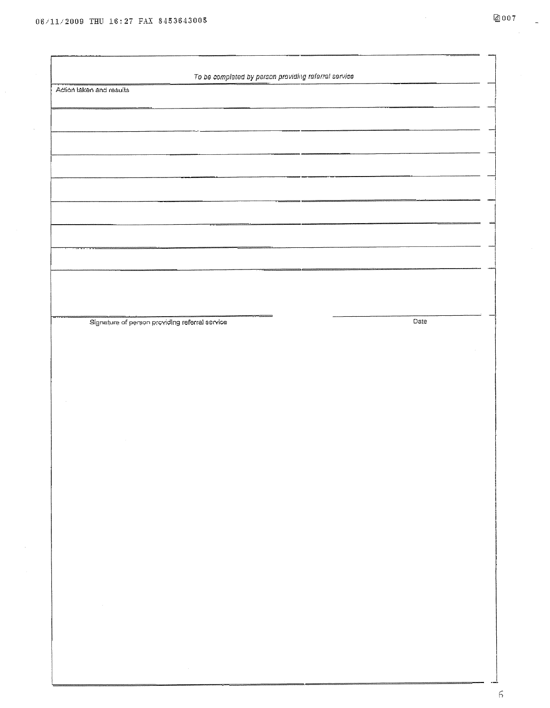$\bar{\mathcal{L}}$ 

| To be completed by person providing referrel service                                                                             |      |
|----------------------------------------------------------------------------------------------------------------------------------|------|
| Action taken and results                                                                                                         |      |
|                                                                                                                                  |      |
|                                                                                                                                  |      |
|                                                                                                                                  |      |
|                                                                                                                                  |      |
|                                                                                                                                  |      |
|                                                                                                                                  |      |
|                                                                                                                                  |      |
|                                                                                                                                  |      |
|                                                                                                                                  |      |
|                                                                                                                                  |      |
|                                                                                                                                  |      |
| ويسترديه                                                                                                                         |      |
| Signature of person providing referral service                                                                                   | Date |
|                                                                                                                                  |      |
|                                                                                                                                  |      |
|                                                                                                                                  |      |
|                                                                                                                                  |      |
|                                                                                                                                  |      |
|                                                                                                                                  |      |
|                                                                                                                                  |      |
|                                                                                                                                  |      |
|                                                                                                                                  |      |
|                                                                                                                                  |      |
|                                                                                                                                  |      |
|                                                                                                                                  |      |
|                                                                                                                                  |      |
|                                                                                                                                  |      |
| $\label{eq:2.1} \mathcal{L}(\mathcal{L}^{\text{c}}) = \mathcal{L}(\mathcal{L}^{\text{c}}) = \mathcal{L}(\mathcal{L}^{\text{c}})$ |      |
|                                                                                                                                  |      |
|                                                                                                                                  |      |
|                                                                                                                                  |      |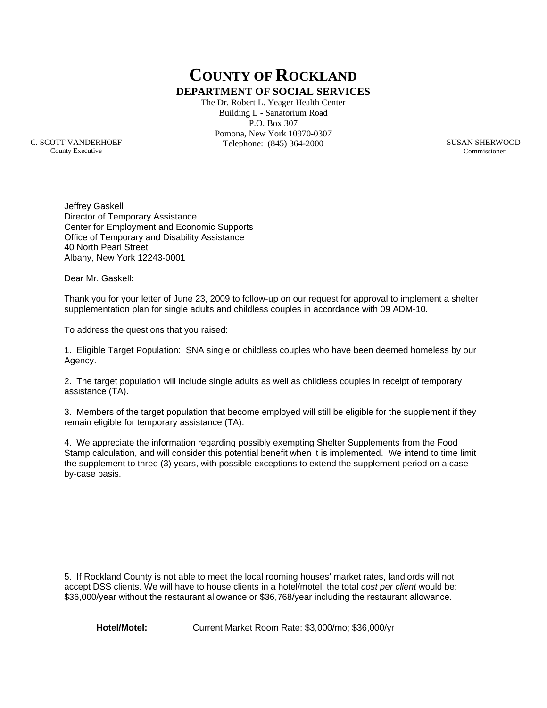**COUNTY OF ROCKLAND DEPARTMENT OF SOCIAL SERVICES**

The Dr. Robert L. Yeager Health Center Building L - Sanatorium Road P.O. Box 307 Pomona, New York 10970-0307 Telephone: (845) 364-2000

C. SCOTT VANDERHOEF County Executive

SUSAN SHERWOOD Commissioner

Jeffrey Gaskell Director of Temporary Assistance Center for Employment and Economic Supports Office of Temporary and Disability Assistance 40 North Pearl Street Albany, New York 12243-0001

Dear Mr. Gaskell:

Thank you for your letter of June 23, 2009 to follow-up on our request for approval to implement a shelter supplementation plan for single adults and childless couples in accordance with 09 ADM-10.

To address the questions that you raised:

1. Eligible Target Population: SNA single or childless couples who have been deemed homeless by our Agency.

2. The target population will include single adults as well as childless couples in receipt of temporary assistance (TA).

3. Members of the target population that become employed will still be eligible for the supplement if they remain eligible for temporary assistance (TA).

4. We appreciate the information regarding possibly exempting Shelter Supplements from the Food Stamp calculation, and will consider this potential benefit when it is implemented. We intend to time limit the supplement to three (3) years, with possible exceptions to extend the supplement period on a caseby-case basis.

5. If Rockland County is not able to meet the local rooming houses' market rates, landlords will not accept DSS clients. We will have to house clients in a hotel/motel; the total *cost per client* would be: \$36,000/year without the restaurant allowance or \$36,768/year including the restaurant allowance.

**Hotel/Motel:** Current Market Room Rate: \$3,000/mo; \$36,000/yr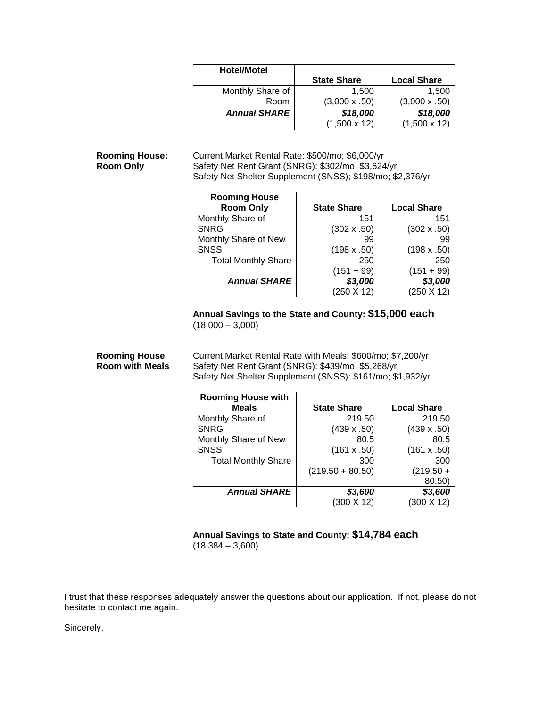| <b>Hotel/Motel</b>  |                      |                      |
|---------------------|----------------------|----------------------|
|                     | <b>State Share</b>   | <b>Local Share</b>   |
| Monthly Share of    | 1,500                | 1.500                |
| Room                | $(3,000 \times .50)$ | $(3,000 \times .50)$ |
| <b>Annual SHARE</b> | \$18,000             | \$18,000             |
|                     | $(1,500 \times 12)$  | $(1,500 \times 12)$  |

**Rooming House:** Current Market Rental Rate: \$500/mo; \$6,000/yr<br>**Room Only** Safety Net Rent Grant (SNRG): \$302/mo; \$3,624 **Room Only** Safety Net Rent Grant (SNRG): \$302/mo; \$3,624/yr Safety Net Shelter Supplement (SNSS); \$198/mo; \$2,376/yr

| <b>Rooming House</b>       |                    |                    |
|----------------------------|--------------------|--------------------|
| <b>Room Only</b>           | <b>State Share</b> | <b>Local Share</b> |
| Monthly Share of           | 151                | 151                |
| <b>SNRG</b>                | $(302 \times .50)$ | $(302 \times .50)$ |
| Monthly Share of New       | 99                 | 99                 |
| <b>SNSS</b>                | $(198 \times .50)$ | (198 x .50)        |
| <b>Total Monthly Share</b> | 250                | 250                |
|                            | $(151 + 99)$       | (151 + 99)         |
| <b>Annual SHARE</b>        | \$3,000            | \$3,000            |
|                            | (250 X 12)         | $(250 \times 12)$  |

### **Annual Savings to the State and County: \$15,000 each**  $(18,000 - 3,000)$

**Rooming House:** Current Market Rental Rate with Meals: \$600/mo; \$7,200/yr<br>**Room with Meals** Safety Net Rent Grant (SNRG): \$439/mo: \$5.268/yr Safety Net Rent Grant (SNRG): \$439/mo; \$5,268/yr Safety Net Shelter Supplement (SNSS): \$161/mo; \$1,932/yr

| <b>Rooming House with</b>  |                    |                    |
|----------------------------|--------------------|--------------------|
| <b>Meals</b>               | <b>State Share</b> | <b>Local Share</b> |
| Monthly Share of           | 219.50             | 219.50             |
| <b>SNRG</b>                | $(439 \times .50)$ | $(439 \times .50)$ |
| Monthly Share of New       | 80.5               | 80.5               |
| <b>SNSS</b>                | (161 x .50)        | (161 x .50)        |
| <b>Total Monthly Share</b> | 300                | 300                |
|                            | $(219.50 + 80.50)$ | $(219.50 +$        |
|                            |                    | 80.50)             |
| <b>Annual SHARE</b>        | \$3,600            | \$3,600            |
|                            | $(300 \times 12)$  | $(300 \times 12)$  |

**Annual Savings to State and County: \$14,784 each**  $(18,384 - 3,600)$ 

I trust that these responses adequately answer the questions about our application. If not, please do not hesitate to contact me again.

Sincerely,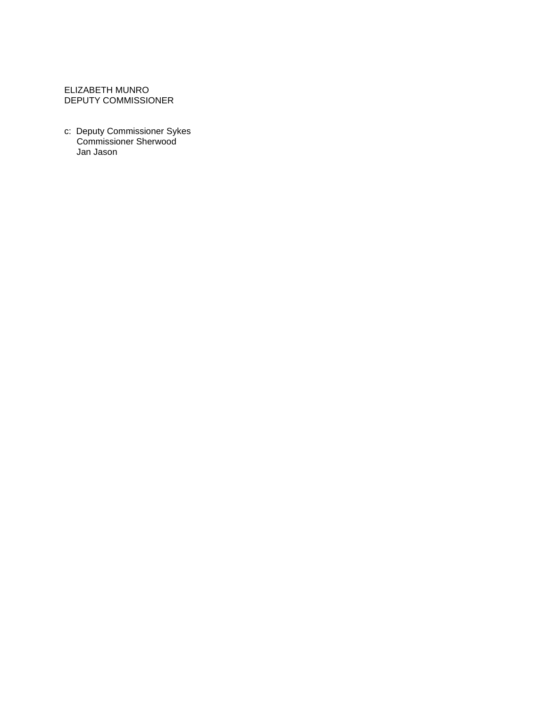### ELIZABETH MUNRO DEPUTY COMMISSIONER

c: Deputy Commissioner Sykes Commissioner Sherwood Jan Jason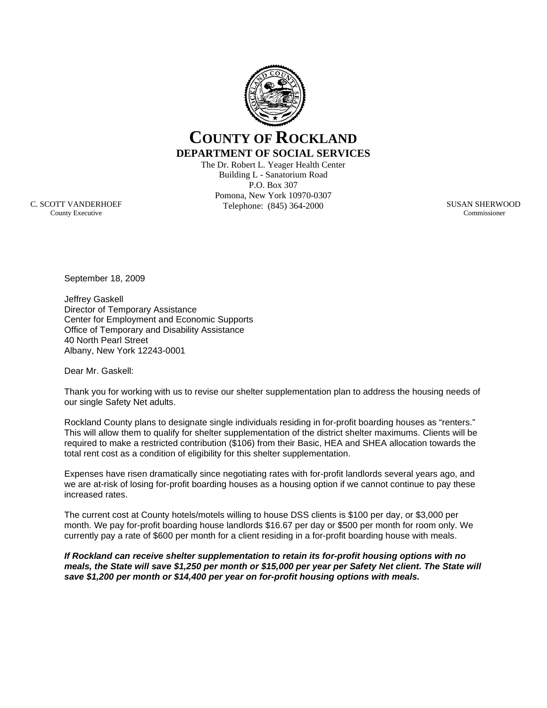

## **COUNTY OF ROCKLAND DEPARTMENT OF SOCIAL SERVICES**

The Dr. Robert L. Yeager Health Center Building L - Sanatorium Road P.O. Box 307 Pomona, New York 10970-0307 Telephone: (845) 364-2000

SUSAN SHERWOOD Commissioner

C. SCOTT VANDERHOEF County Executive

September 18, 2009

Jeffrey Gaskell Director of Temporary Assistance Center for Employment and Economic Supports Office of Temporary and Disability Assistance 40 North Pearl Street Albany, New York 12243-0001

Dear Mr. Gaskell:

Thank you for working with us to revise our shelter supplementation plan to address the housing needs of our single Safety Net adults.

Rockland County plans to designate single individuals residing in for-profit boarding houses as "renters." This will allow them to qualify for shelter supplementation of the district shelter maximums. Clients will be required to make a restricted contribution (\$106) from their Basic, HEA and SHEA allocation towards the total rent cost as a condition of eligibility for this shelter supplementation.

Expenses have risen dramatically since negotiating rates with for-profit landlords several years ago, and we are at-risk of losing for-profit boarding houses as a housing option if we cannot continue to pay these increased rates.

The current cost at County hotels/motels willing to house DSS clients is \$100 per day, or \$3,000 per month. We pay for-profit boarding house landlords \$16.67 per day or \$500 per month for room only. We currently pay a rate of \$600 per month for a client residing in a for-profit boarding house with meals.

*If Rockland can receive shelter supplementation to retain its for-profit housing options with no meals, the State will save \$1,250 per month or \$15,000 per year per Safety Net client. The State will save \$1,200 per month or \$14,400 per year on for-profit housing options with meals.*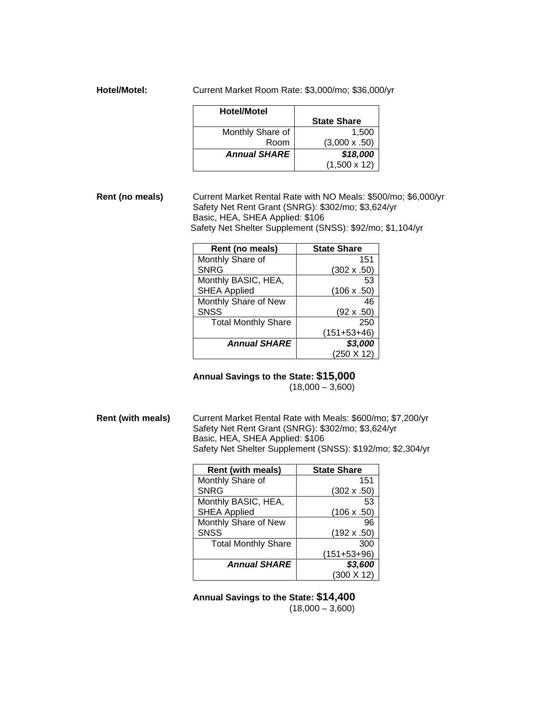**Hotel/Motel:** Current Market Room Rate: \$3,000/mo; \$36,000/yr

| <b>Hotel/Motel</b>  |                      |
|---------------------|----------------------|
|                     | <b>State Share</b>   |
| Monthly Share of    | 1,500                |
| Room                | $(3,000 \times .50)$ |
| <b>Annual SHARE</b> | \$18,000             |
|                     | $(1,500 \times 12)$  |

**Rent (no meals)** Current Market Rental Rate with NO Meals: \$500/mo; \$6,000/yr Safety Net Rent Grant (SNRG): \$302/mo; \$3,624/yr Basic, HEA, SHEA Applied: \$106 Safety Net Shelter Supplement (SNSS): \$92/mo; \$1,104/yr

| Rent (no meals)            | <b>State Share</b> |
|----------------------------|--------------------|
| Monthly Share of           | 151                |
| <b>SNRG</b>                | $(302 \times .50)$ |
| Monthly BASIC, HEA,        | 53                 |
| <b>SHEA Applied</b>        | $(106 \times .50)$ |
| Monthly Share of New       | 46                 |
| <b>SNSS</b>                | $(92 \times .50)$  |
| <b>Total Monthly Share</b> | 250                |
|                            | $(151+53+46)$      |
| <b>Annual SHARE</b>        | \$3,000            |
|                            | $(250 \times 12)$  |

**Annual Savings to the State: \$15,000**

 $(18,000 - 3,600)$ 

**Rent (with meals)** Current Market Rental Rate with Meals: \$600/mo; \$7,200/yr Safety Net Rent Grant (SNRG): \$302/mo; \$3,624/yr Basic, HEA, SHEA Applied: \$106 Safety Net Shelter Supplement (SNSS): \$192/mo; \$2,304/yr

| <b>Rent (with meals)</b>   | <b>State Share</b> |
|----------------------------|--------------------|
| Monthly Share of           | 151                |
| <b>SNRG</b>                | $(302 \times .50)$ |
| Monthly BASIC, HEA,        | 53                 |
| <b>SHEA Applied</b>        | (106 x .50)        |
| Monthly Share of New       | 96                 |
| <b>SNSS</b>                | $(192 \times .50)$ |
| <b>Total Monthly Share</b> | 300                |
|                            | $(151+53+96)$      |
| <b>Annual SHARE</b>        | \$3,600            |
|                            | $(300 \times 12)$  |

**Annual Savings to the State: \$14,400**   $(18,000 - 3,600)$